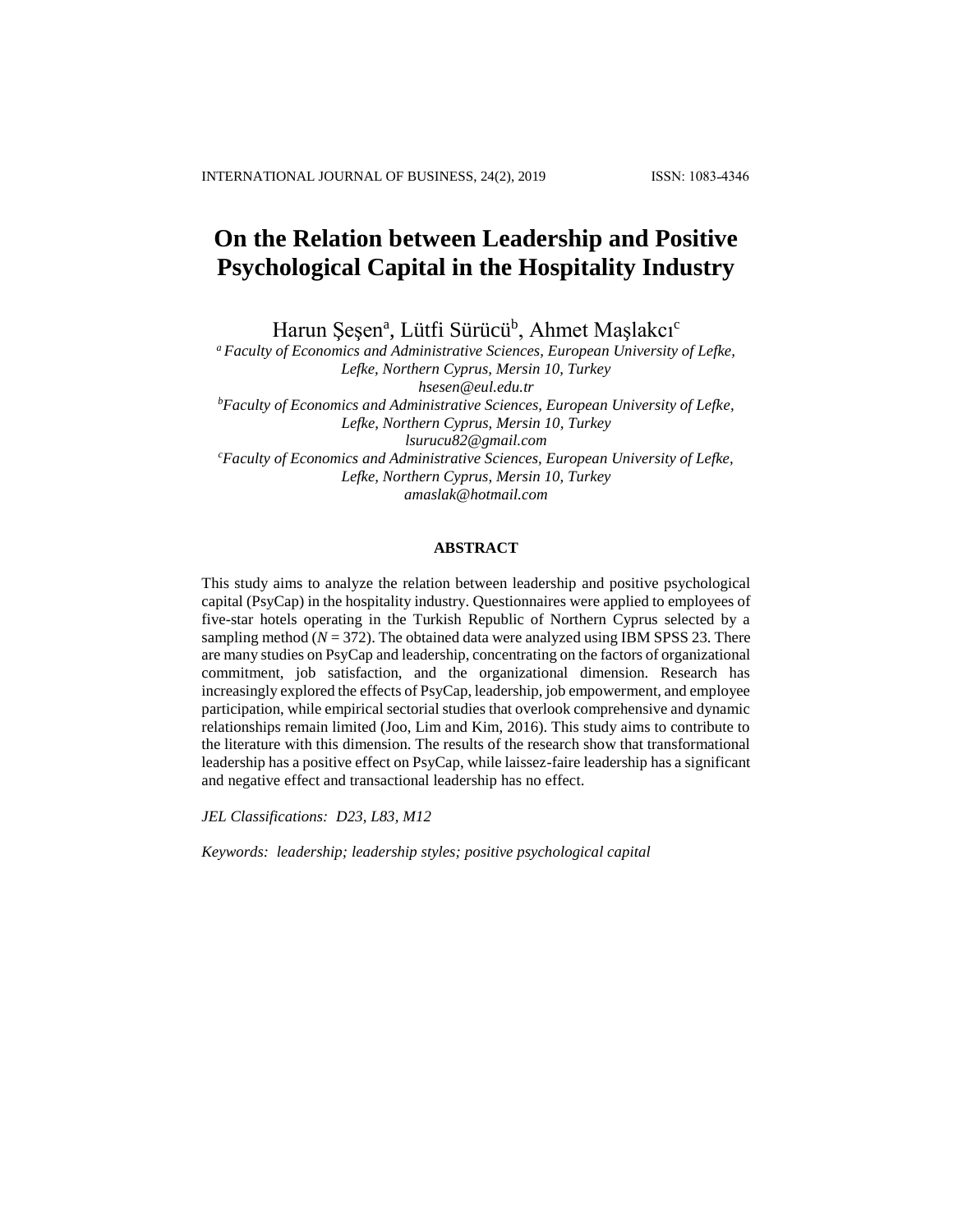# **On the Relation between Leadership and Positive Psychological Capital in the Hospitality Industry**

Harun Şeşen<sup>a</sup>, Lütfi Sürücü<sup>b</sup>, Ahmet Maşlakcı<sup>c</sup>

*<sup>a</sup> Faculty of Economics and Administrative Sciences, European University of Lefke, Lefke, Northern Cyprus, Mersin 10, Turkey [hsesen@eul.edu.tr](mailto:hsesen@eul.edu.tr) <sup>b</sup>Faculty of Economics and Administrative Sciences, European University of Lefke, Lefke, Northern Cyprus, Mersin 10, Turkey lsurucu82@gmail.com <sup>c</sup>Faculty of Economics and Administrative Sciences, European University of Lefke, Lefke, Northern Cyprus, Mersin 10, Turkey amaslak@hotmail.com*

# **ABSTRACT**

This study aims to analyze the relation between leadership and positive psychological capital (PsyCap) in the hospitality industry. Questionnaires were applied to employees of five-star hotels operating in the Turkish Republic of Northern Cyprus selected by a sampling method  $(N = 372)$ . The obtained data were analyzed using IBM SPSS 23. There are many studies on PsyCap and leadership, concentrating on the factors of organizational commitment, job satisfaction, and the organizational dimension. Research has increasingly explored the effects of PsyCap, leadership, job empowerment, and employee participation, while empirical sectorial studies that overlook comprehensive and dynamic relationships remain limited (Joo, Lim and Kim, 2016). This study aims to contribute to the literature with this dimension. The results of the research show that transformational leadership has a positive effect on PsyCap, while laissez-faire leadership has a significant and negative effect and transactional leadership has no effect.

*JEL Classifications: D23, L83, M12*

*Keywords: leadership; leadership styles; positive psychological capital*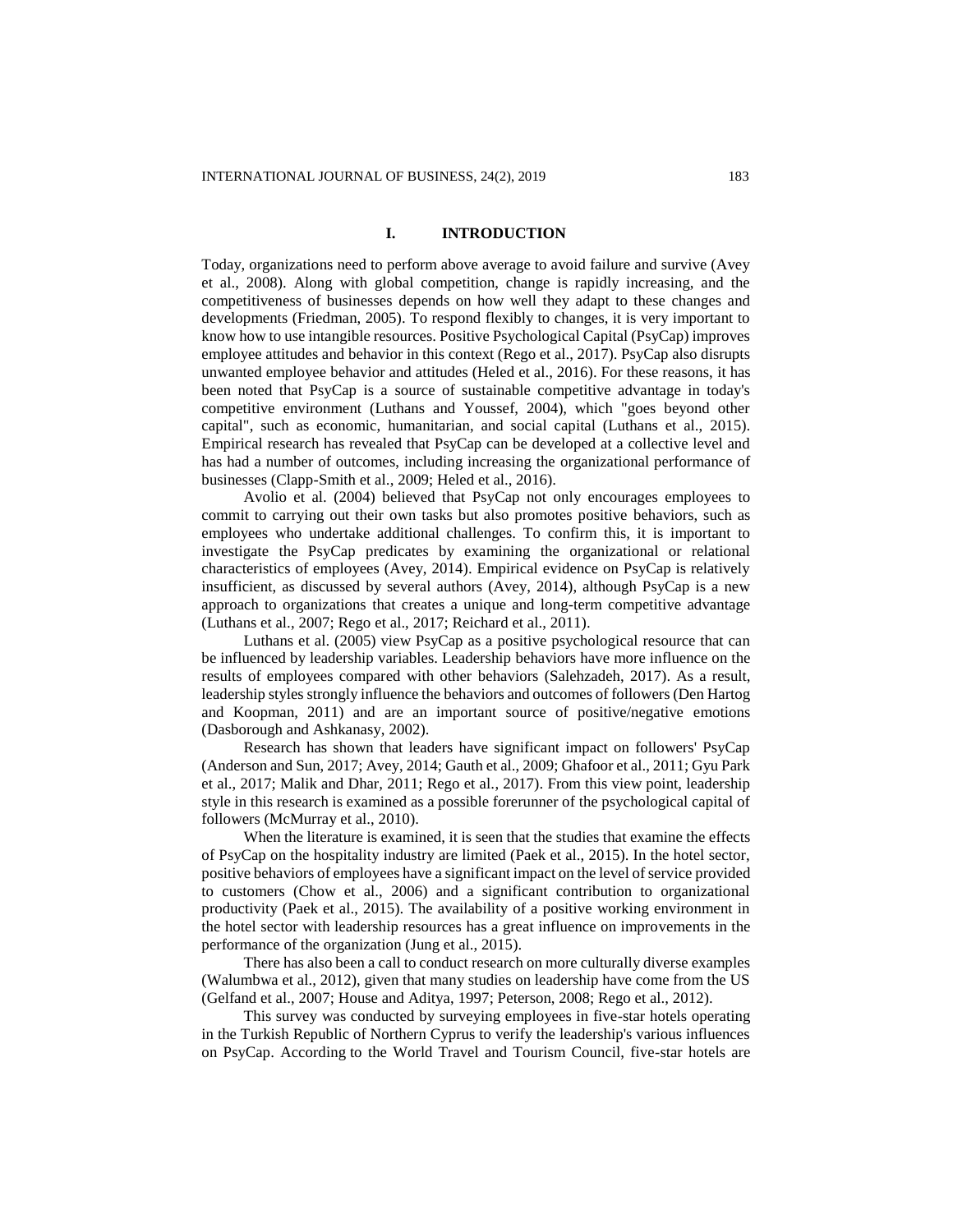### **I. INTRODUCTION**

Today, organizations need to perform above average to avoid failure and survive (Avey et al., 2008). Along with global competition, change is rapidly increasing, and the competitiveness of businesses depends on how well they adapt to these changes and developments (Friedman, 2005). To respond flexibly to changes, it is very important to know how to use intangible resources. Positive Psychological Capital (PsyCap) improves employee attitudes and behavior in this context (Rego et al., 2017). PsyCap also disrupts unwanted employee behavior and attitudes (Heled et al., 2016). For these reasons, it has been noted that PsyCap is a source of sustainable competitive advantage in today's competitive environment (Luthans and Youssef, 2004), which "goes beyond other capital", such as economic, humanitarian, and social capital (Luthans et al., 2015). Empirical research has revealed that PsyCap can be developed at a collective level and has had a number of outcomes, including increasing the organizational performance of businesses (Clapp-Smith et al., 2009; Heled et al., 2016).

Avolio et al. (2004) believed that PsyCap not only encourages employees to commit to carrying out their own tasks but also promotes positive behaviors, such as employees who undertake additional challenges. To confirm this, it is important to investigate the PsyCap predicates by examining the organizational or relational characteristics of employees (Avey, 2014). Empirical evidence on PsyCap is relatively insufficient, as discussed by several authors (Avey, 2014), although PsyCap is a new approach to organizations that creates a unique and long-term competitive advantage (Luthans et al., 2007; Rego et al., 2017; Reichard et al., 2011).

Luthans et al. (2005) view PsyCap as a positive psychological resource that can be influenced by leadership variables. Leadership behaviors have more influence on the results of employees compared with other behaviors (Salehzadeh, 2017). As a result, leadership styles strongly influence the behaviors and outcomes of followers (Den Hartog and Koopman, 2011) and are an important source of positive/negative emotions (Dasborough and Ashkanasy, 2002).

Research has shown that leaders have significant impact on followers' PsyCap (Anderson and Sun, 2017; Avey, 2014; Gauth et al., 2009; Ghafoor et al., 2011; Gyu Park et al., 2017; Malik and Dhar, 2011; Rego et al., 2017). From this view point, leadership style in this research is examined as a possible forerunner of the psychological capital of followers (McMurray et al., 2010).

When the literature is examined, it is seen that the studies that examine the effects of PsyCap on the hospitality industry are limited (Paek et al., 2015). In the hotel sector, positive behaviors of employees have a significant impact on the level of service provided to customers (Chow et al., 2006) and a significant contribution to organizational productivity (Paek et al., 2015). The availability of a positive working environment in the hotel sector with leadership resources has a great influence on improvements in the performance of the organization (Jung et al., 2015).

There has also been a call to conduct research on more culturally diverse examples (Walumbwa et al., 2012), given that many studies on leadership have come from the US (Gelfand et al., 2007; House and Aditya, 1997; Peterson, 2008; Rego et al., 2012).

This survey was conducted by surveying employees in five-star hotels operating in the Turkish Republic of Northern Cyprus to verify the leadership's various influences on PsyCap. According to the World Travel and Tourism Council, five-star hotels are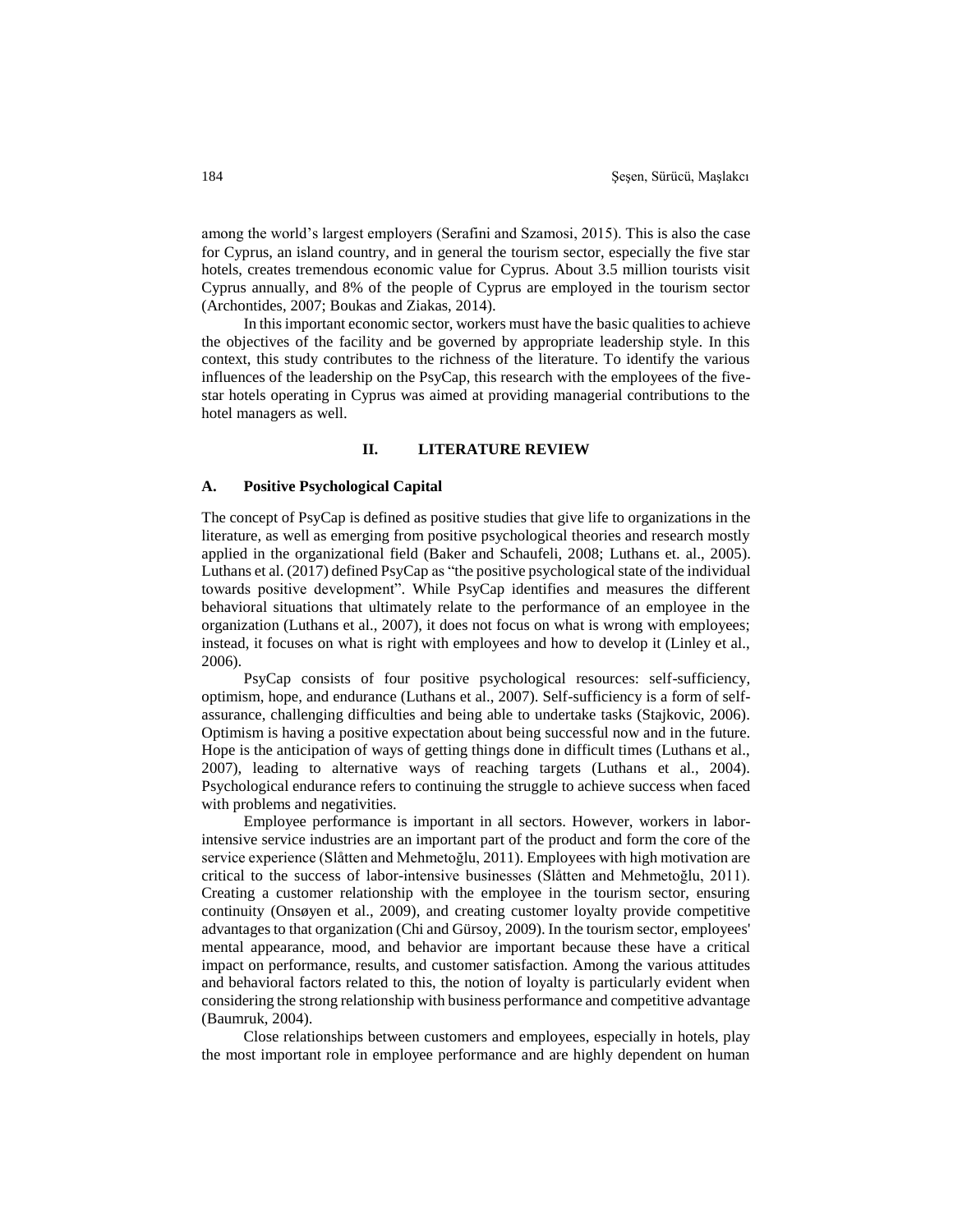among the world's largest employers (Serafini and Szamosi, 2015). This is also the case for Cyprus, an island country, and in general the tourism sector, especially the five star hotels, creates tremendous economic value for Cyprus. About 3.5 million tourists visit Cyprus annually, and 8% of the people of Cyprus are employed in the tourism sector (Archontides, 2007; Boukas and Ziakas, 2014).

In this important economic sector, workers must have the basic qualities to achieve the objectives of the facility and be governed by appropriate leadership style. In this context, this study contributes to the richness of the literature. To identify the various influences of the leadership on the PsyCap, this research with the employees of the fivestar hotels operating in Cyprus was aimed at providing managerial contributions to the hotel managers as well.

#### **II. LITERATURE REVIEW**

#### **A. Positive Psychological Capital**

The concept of PsyCap is defined as positive studies that give life to organizations in the literature, as well as emerging from positive psychological theories and research mostly applied in the organizational field (Baker and Schaufeli, 2008; Luthans et. al., 2005). Luthans et al. (2017) defined PsyCap as "the positive psychological state of the individual towards positive development". While PsyCap identifies and measures the different behavioral situations that ultimately relate to the performance of an employee in the organization (Luthans et al., 2007), it does not focus on what is wrong with employees; instead, it focuses on what is right with employees and how to develop it (Linley et al., 2006).

PsyCap consists of four positive psychological resources: self-sufficiency, optimism, hope, and endurance (Luthans et al., 2007). Self-sufficiency is a form of selfassurance, challenging difficulties and being able to undertake tasks (Stajkovic, 2006). Optimism is having a positive expectation about being successful now and in the future. Hope is the anticipation of ways of getting things done in difficult times (Luthans et al., 2007), leading to alternative ways of reaching targets (Luthans et al., 2004). Psychological endurance refers to continuing the struggle to achieve success when faced with problems and negativities.

Employee performance is important in all sectors. However, workers in laborintensive service industries are an important part of the product and form the core of the service experience (Slåtten and Mehmetoğlu, 2011). Employees with high motivation are critical to the success of labor-intensive businesses (Slåtten and Mehmetoğlu, 2011). Creating a customer relationship with the employee in the tourism sector, ensuring continuity (Onsøyen et al., 2009), and creating customer loyalty provide competitive advantages to that organization (Chi and Gürsoy, 2009). In the tourism sector, employees' mental appearance, mood, and behavior are important because these have a critical impact on performance, results, and customer satisfaction. Among the various attitudes and behavioral factors related to this, the notion of loyalty is particularly evident when considering the strong relationship with business performance and competitive advantage (Baumruk, 2004).

Close relationships between customers and employees, especially in hotels, play the most important role in employee performance and are highly dependent on human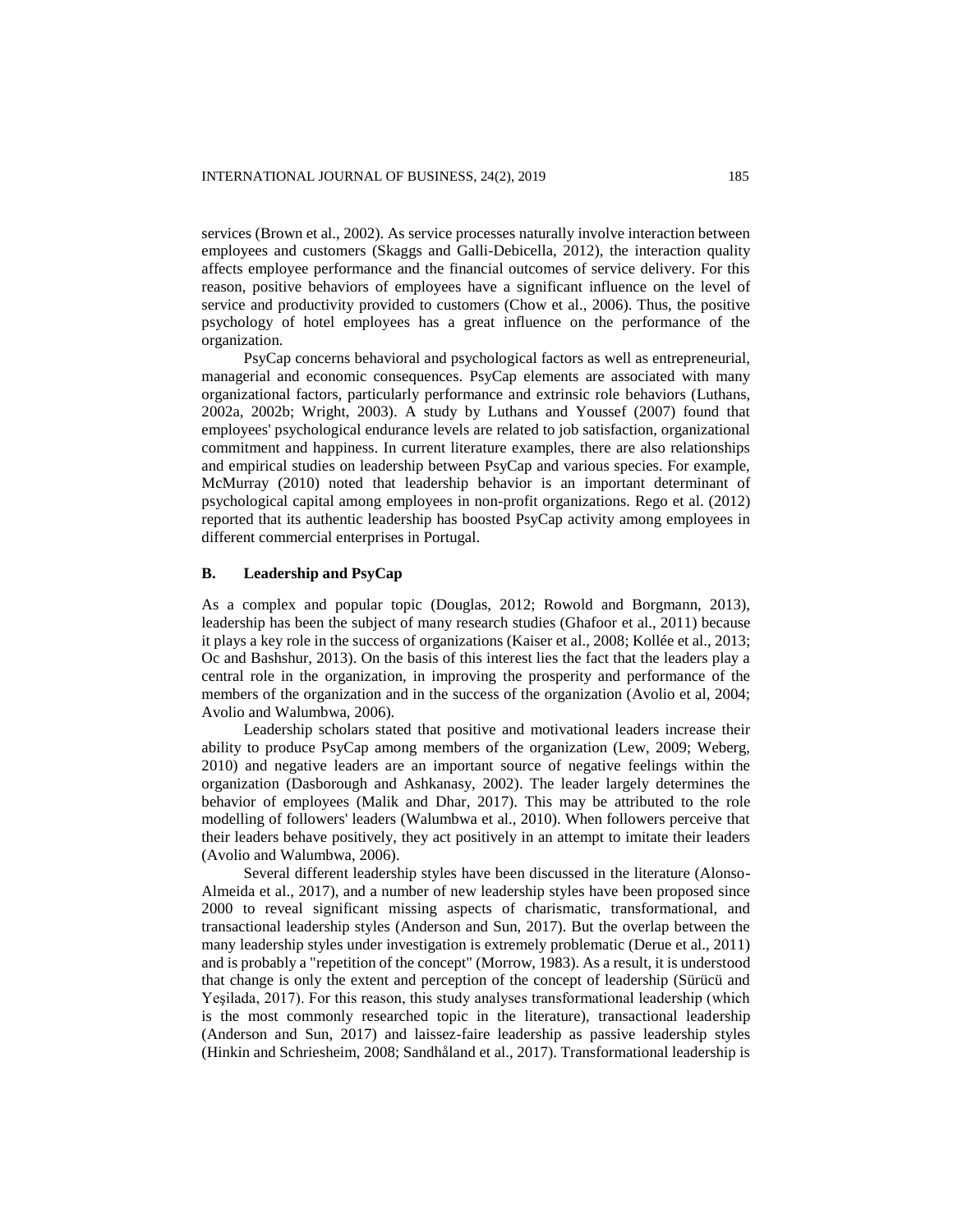services (Brown et al., 2002). As service processes naturally involve interaction between employees and customers (Skaggs and Galli-Debicella, 2012), the interaction quality affects employee performance and the financial outcomes of service delivery. For this reason, positive behaviors of employees have a significant influence on the level of service and productivity provided to customers (Chow et al., 2006). Thus, the positive psychology of hotel employees has a great influence on the performance of the organization.

PsyCap concerns behavioral and psychological factors as well as entrepreneurial, managerial and economic consequences. PsyCap elements are associated with many organizational factors, particularly performance and extrinsic role behaviors (Luthans, 2002a, 2002b; Wright, 2003). A study by Luthans and Youssef (2007) found that employees' psychological endurance levels are related to job satisfaction, organizational commitment and happiness. In current literature examples, there are also relationships and empirical studies on leadership between PsyCap and various species. For example, McMurray (2010) noted that leadership behavior is an important determinant of psychological capital among employees in non-profit organizations. Rego et al. (2012) reported that its authentic leadership has boosted PsyCap activity among employees in different commercial enterprises in Portugal.

# **B. Leadership and PsyCap**

As a complex and popular topic (Douglas, 2012; Rowold and Borgmann, 2013), leadership has been the subject of many research studies (Ghafoor et al., 2011) because it plays a key role in the success of organizations (Kaiser et al., 2008; Kollée et al., 2013; Oc and Bashshur, 2013). On the basis of this interest lies the fact that the leaders play a central role in the organization, in improving the prosperity and performance of the members of the organization and in the success of the organization (Avolio et al, 2004; Avolio and Walumbwa, 2006).

Leadership scholars stated that positive and motivational leaders increase their ability to produce PsyCap among members of the organization (Lew, 2009; Weberg, 2010) and negative leaders are an important source of negative feelings within the organization (Dasborough and Ashkanasy, 2002). The leader largely determines the behavior of employees (Malik and Dhar, 2017). This may be attributed to the role modelling of followers' leaders (Walumbwa et al., 2010). When followers perceive that their leaders behave positively, they act positively in an attempt to imitate their leaders (Avolio and Walumbwa, 2006).

Several different leadership styles have been discussed in the literature (Alonso-Almeida et al., 2017), and a number of new leadership styles have been proposed since 2000 to reveal significant missing aspects of charismatic, transformational, and transactional leadership styles (Anderson and Sun, 2017). But the overlap between the many leadership styles under investigation is extremely problematic (Derue et al., 2011) and is probably a "repetition of the concept" (Morrow, 1983). As a result, it is understood that change is only the extent and perception of the concept of leadership (Sürücü and Yeşilada, 2017). For this reason, this study analyses transformational leadership (which is the most commonly researched topic in the literature), transactional leadership (Anderson and Sun, 2017) and laissez-faire leadership as passive leadership styles (Hinkin and Schriesheim, 2008; Sandhåland et al., 2017). Transformational leadership is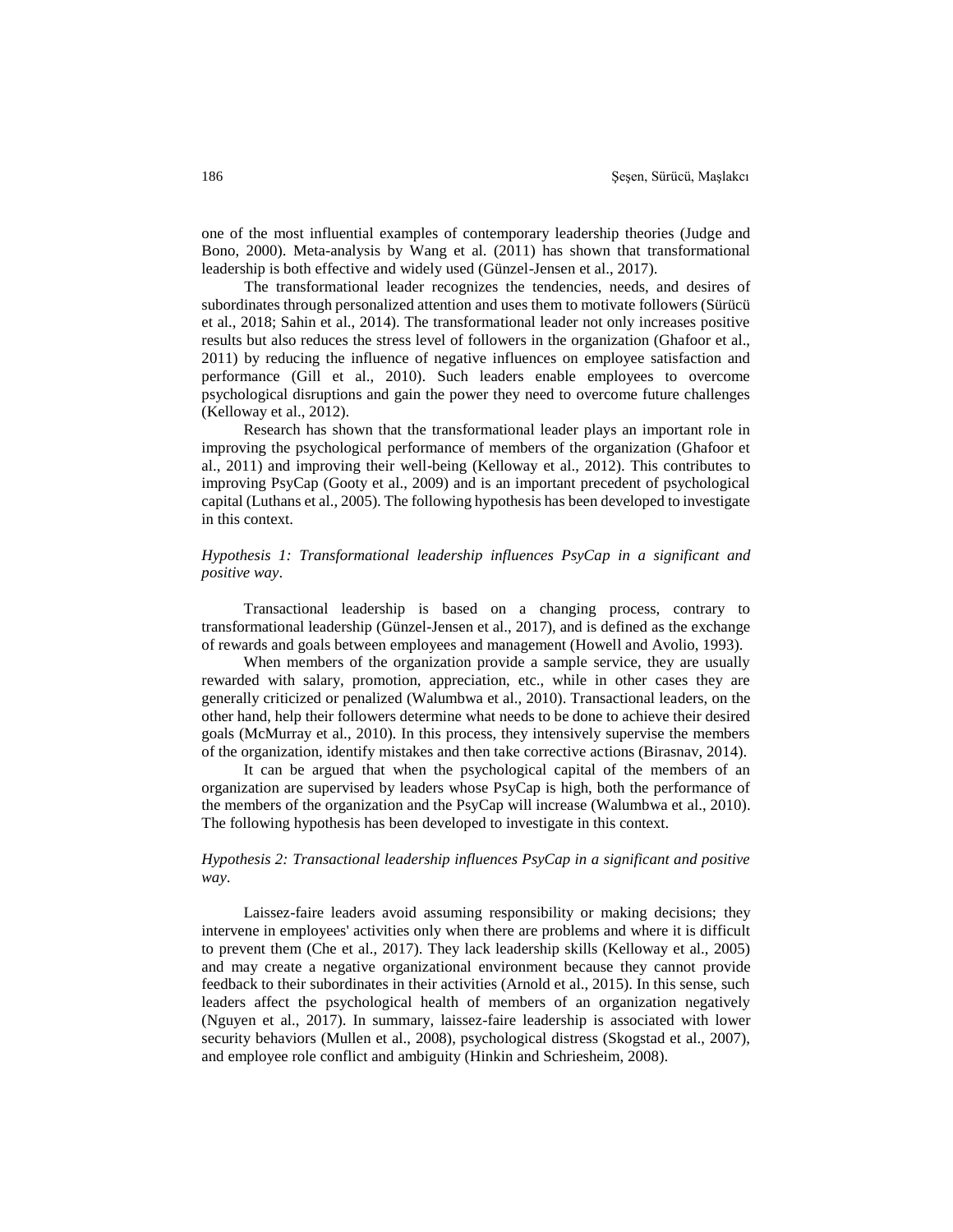one of the most influential examples of contemporary leadership theories (Judge and Bono, 2000). Meta-analysis by Wang et al. (2011) has shown that transformational leadership is both effective and widely used (Günzel-Jensen et al., 2017).

The transformational leader recognizes the tendencies, needs, and desires of subordinates through personalized attention and uses them to motivate followers (Sürücü et al., 2018; Sahin et al., 2014). The transformational leader not only increases positive results but also reduces the stress level of followers in the organization (Ghafoor et al., 2011) by reducing the influence of negative influences on employee satisfaction and performance (Gill et al., 2010). Such leaders enable employees to overcome psychological disruptions and gain the power they need to overcome future challenges (Kelloway et al., 2012).

Research has shown that the transformational leader plays an important role in improving the psychological performance of members of the organization (Ghafoor et al., 2011) and improving their well-being (Kelloway et al., 2012). This contributes to improving PsyCap (Gooty et al., 2009) and is an important precedent of psychological capital (Luthans et al., 2005). The following hypothesis has been developed to investigate in this context.

# *Hypothesis 1: Transformational leadership influences PsyCap in a significant and positive way*.

Transactional leadership is based on a changing process, contrary to transformational leadership (Günzel-Jensen et al., 2017), and is defined as the exchange of rewards and goals between employees and management (Howell and Avolio, 1993).

When members of the organization provide a sample service, they are usually rewarded with salary, promotion, appreciation, etc., while in other cases they are generally criticized or penalized (Walumbwa et al., 2010). Transactional leaders, on the other hand, help their followers determine what needs to be done to achieve their desired goals (McMurray et al., 2010). In this process, they intensively supervise the members of the organization, identify mistakes and then take corrective actions (Birasnav, 2014).

It can be argued that when the psychological capital of the members of an organization are supervised by leaders whose PsyCap is high, both the performance of the members of the organization and the PsyCap will increase (Walumbwa et al., 2010). The following hypothesis has been developed to investigate in this context.

### *Hypothesis 2: Transactional leadership influences PsyCap in a significant and positive way*.

Laissez-faire leaders avoid assuming responsibility or making decisions; they intervene in employees' activities only when there are problems and where it is difficult to prevent them (Che et al., 2017). They lack leadership skills (Kelloway et al., 2005) and may create a negative organizational environment because they cannot provide feedback to their subordinates in their activities (Arnold et al., 2015). In this sense, such leaders affect the psychological health of members of an organization negatively (Nguyen et al., 2017). In summary, laissez-faire leadership is associated with lower security behaviors (Mullen et al., 2008), psychological distress (Skogstad et al., 2007), and employee role conflict and ambiguity (Hinkin and Schriesheim, 2008).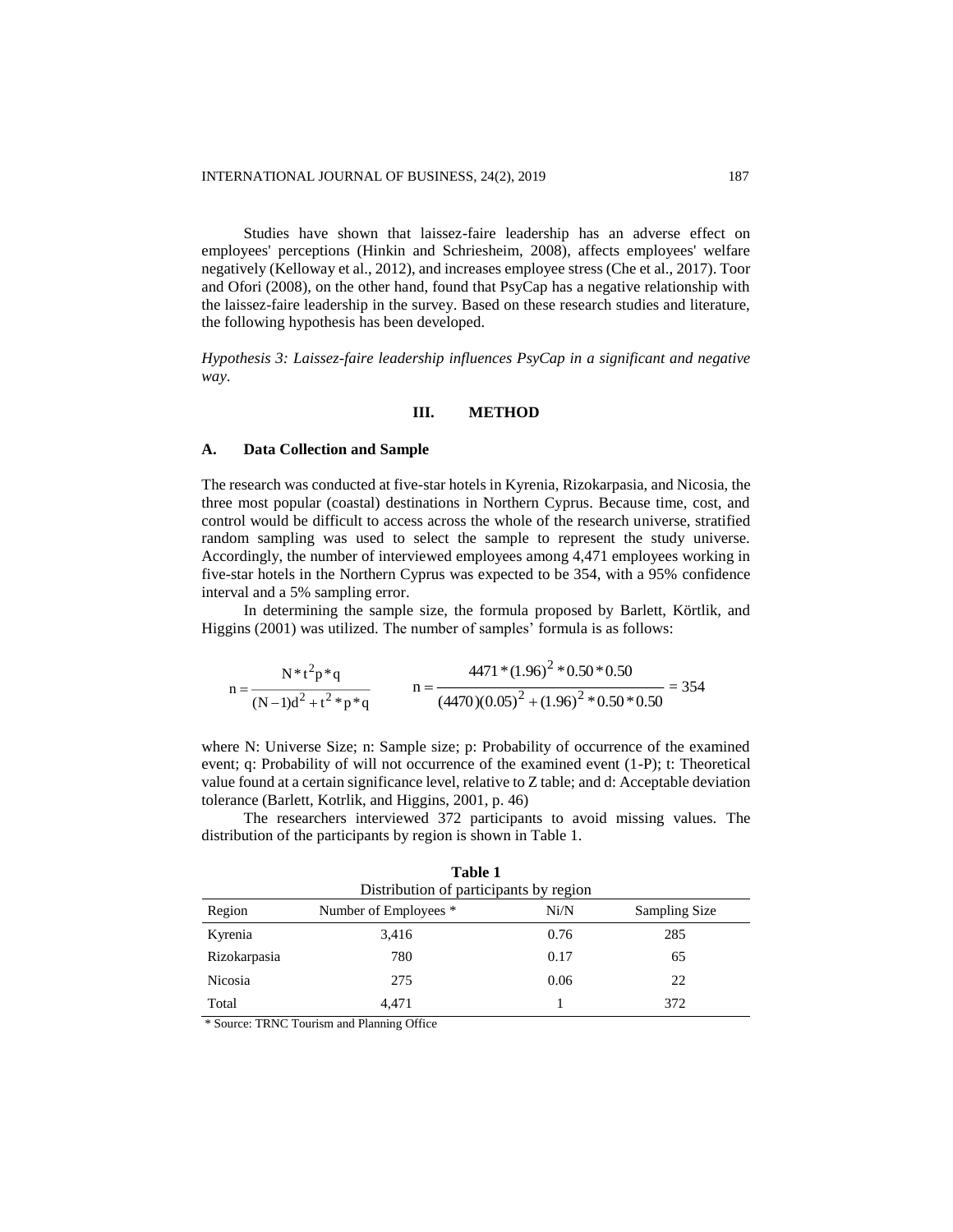Studies have shown that laissez-faire leadership has an adverse effect on employees' perceptions (Hinkin and Schriesheim, 2008), affects employees' welfare negatively (Kelloway et al., 2012), and increases employee stress (Che et al., 2017). Toor and Ofori (2008), on the other hand, found that PsyCap has a negative relationship with the laissez-faire leadership in the survey. Based on these research studies and literature, the following hypothesis has been developed.

*Hypothesis 3: Laissez-faire leadership influences PsyCap in a significant and negative way*.

### **III. METHOD**

#### **A. Data Collection and Sample**

The research was conducted at five-star hotels in Kyrenia, Rizokarpasia, and Nicosia, the three most popular (coastal) destinations in Northern Cyprus. Because time, cost, and control would be difficult to access across the whole of the research universe, stratified random sampling was used to select the sample to represent the study universe. Accordingly, the number of interviewed employees among 4,471 employees working in five-star hotels in the Northern Cyprus was expected to be 354, with a 95% confidence interval and a 5% sampling error.

In determining the sample size, the formula proposed by Barlett, Körtlik, and Higgins (2001) was utilized. The number of samples' formula is as follows:

$$
n = \frac{N * t^2 p * q}{(N-1)d^2 + t^2 * p * q} \qquad n = \frac{4471 * (1.96)^2 * 0.50 * 0.50}{(4470)(0.05)^2 + (1.96)^2 * 0.50 * 0.50} = 354
$$

where N: Universe Size; n: Sample size; p: Probability of occurrence of the examined event; q: Probability of will not occurrence of the examined event (1-P); t: Theoretical value found at a certain significance level, relative to Z table; and d: Acceptable deviation tolerance (Barlett, Kotrlik, and Higgins, 2001, p. 46)

The researchers interviewed 372 participants to avoid missing values. The distribution of the participants by region is shown in Table 1.

| Region       | Number of Employees * | Ni/N | Sampling Size |
|--------------|-----------------------|------|---------------|
| Kyrenia      | 3,416                 | 0.76 | 285           |
| Rizokarpasia | 780                   | 0.17 | 65            |
| Nicosia      | 275                   | 0.06 | 22            |
| Total        | 4,471                 |      | 372           |

**Table 1** Distribution of participants by region

\* Source: TRNC Tourism and Planning Office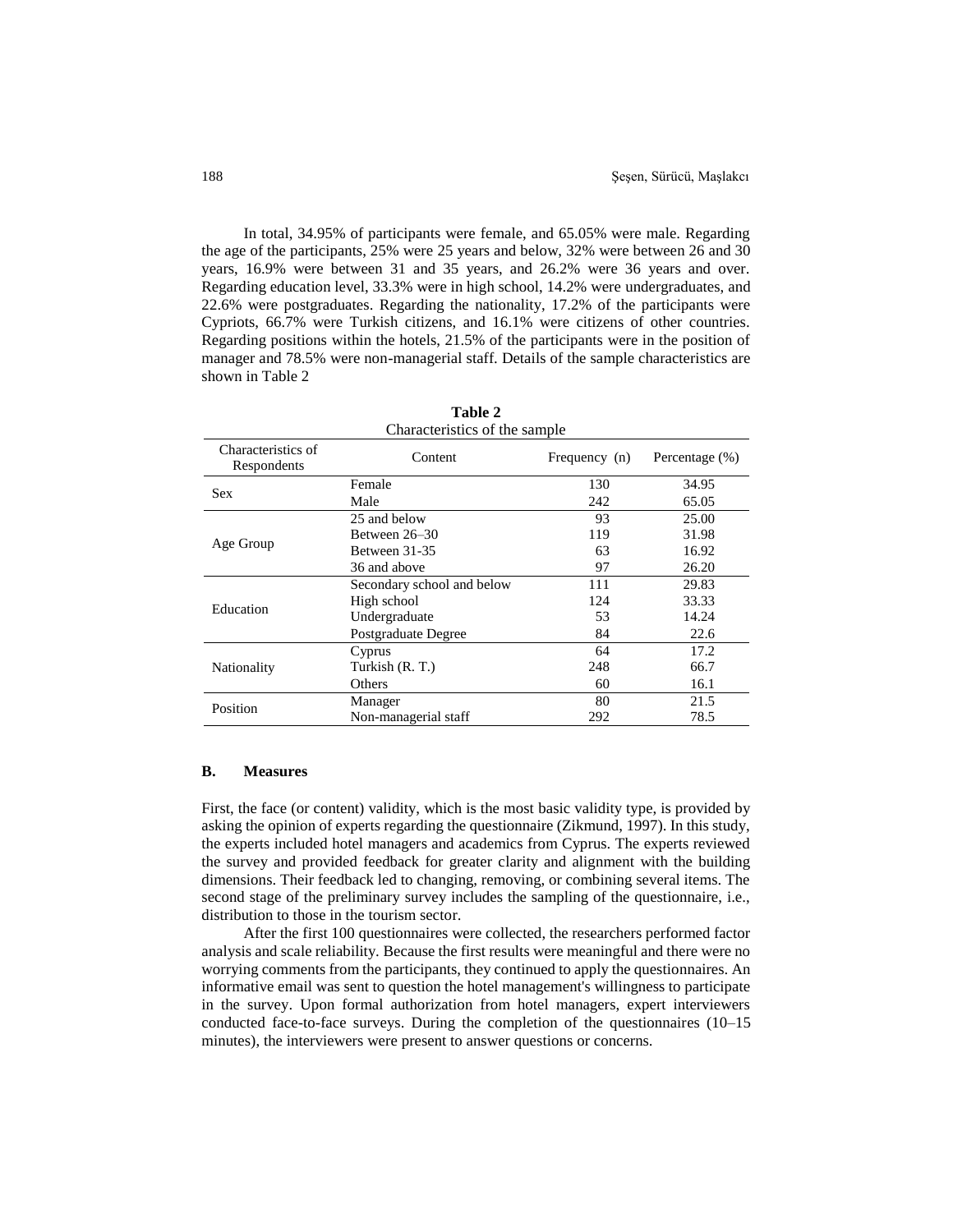In total, 34.95% of participants were female, and 65.05% were male. Regarding the age of the participants, 25% were 25 years and below, 32% were between 26 and 30 years, 16.9% were between 31 and 35 years, and 26.2% were 36 years and over. Regarding education level, 33.3% were in high school, 14.2% were undergraduates, and 22.6% were postgraduates. Regarding the nationality, 17.2% of the participants were Cypriots, 66.7% were Turkish citizens, and 16.1% were citizens of other countries. Regarding positions within the hotels, 21.5% of the participants were in the position of manager and 78.5% were non-managerial staff. Details of the sample characteristics are shown in Table 2

| Tadie 2                           |                            |               |                |  |  |  |  |
|-----------------------------------|----------------------------|---------------|----------------|--|--|--|--|
| Characteristics of the sample     |                            |               |                |  |  |  |  |
| Characteristics of<br>Respondents | Content                    | Frequency (n) | Percentage (%) |  |  |  |  |
| <b>Sex</b>                        | Female                     | 130           | 34.95          |  |  |  |  |
|                                   | Male                       | 242           | 65.05          |  |  |  |  |
|                                   | 25 and below               | 93            | 25.00          |  |  |  |  |
|                                   | Between 26–30              | 119           | 31.98          |  |  |  |  |
| Age Group                         | Between 31-35              | 63            | 16.92          |  |  |  |  |
|                                   | 36 and above               | 97            | 26.20          |  |  |  |  |
|                                   | Secondary school and below | 111           | 29.83          |  |  |  |  |
| Education                         | High school                | 124           | 33.33          |  |  |  |  |
|                                   | Undergraduate              | 53            | 14.24          |  |  |  |  |
|                                   | Postgraduate Degree        | 84            | 22.6           |  |  |  |  |
|                                   | Cyprus                     | 64            | 17.2           |  |  |  |  |
| Nationality                       | Turkish (R. T.)            | 248           | 66.7           |  |  |  |  |
|                                   | Others                     | 60            | 16.1           |  |  |  |  |
| Position                          | Manager                    | 80            | 21.5           |  |  |  |  |
|                                   | Non-managerial staff       | 292           | 78.5           |  |  |  |  |

 $T = 1122$ 

### **B. Measures**

First, the face (or content) validity, which is the most basic validity type, is provided by asking the opinion of experts regarding the questionnaire (Zikmund, 1997). In this study, the experts included hotel managers and academics from Cyprus. The experts reviewed the survey and provided feedback for greater clarity and alignment with the building dimensions. Their feedback led to changing, removing, or combining several items. The second stage of the preliminary survey includes the sampling of the questionnaire, i.e., distribution to those in the tourism sector.

After the first 100 questionnaires were collected, the researchers performed factor analysis and scale reliability. Because the first results were meaningful and there were no worrying comments from the participants, they continued to apply the questionnaires. An informative email was sent to question the hotel management's willingness to participate in the survey. Upon formal authorization from hotel managers, expert interviewers conducted face-to-face surveys. During the completion of the questionnaires (10–15 minutes), the interviewers were present to answer questions or concerns.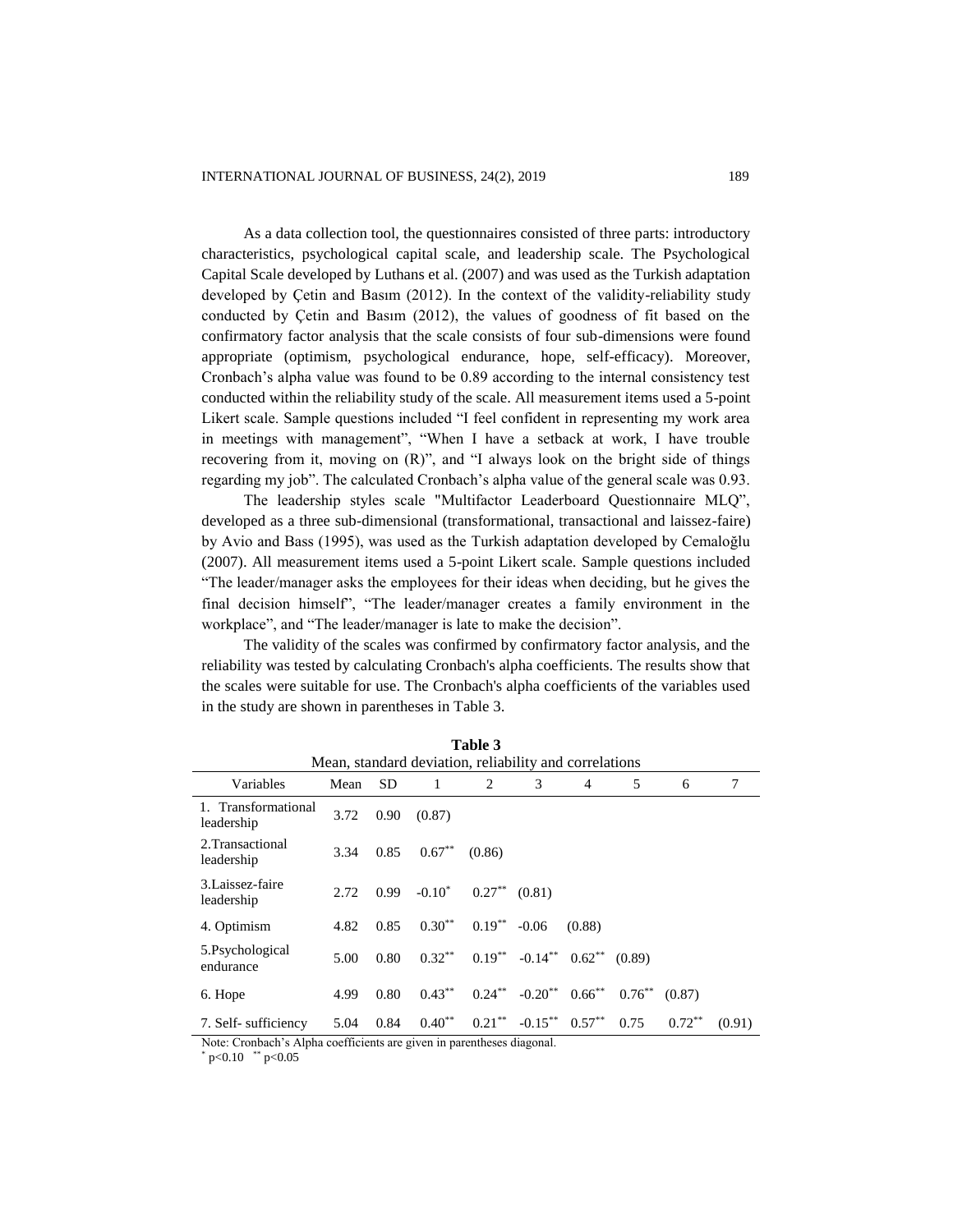As a data collection tool, the questionnaires consisted of three parts: introductory characteristics, psychological capital scale, and leadership scale. The Psychological Capital Scale developed by Luthans et al. (2007) and was used as the Turkish adaptation developed by Çetin and Basım (2012). In the context of the validity-reliability study conducted by Çetin and Basım (2012), the values of goodness of fit based on the confirmatory factor analysis that the scale consists of four sub-dimensions were found appropriate (optimism, psychological endurance, hope, self-efficacy). Moreover, Cronbach's alpha value was found to be 0.89 according to the internal consistency test conducted within the reliability study of the scale. All measurement items used a 5-point Likert scale. Sample questions included "I feel confident in representing my work area in meetings with management", "When I have a setback at work, I have trouble recovering from it, moving on (R)", and "I always look on the bright side of things regarding my job". The calculated Cronbach's alpha value of the general scale was 0.93.

The leadership styles scale "Multifactor Leaderboard Questionnaire MLQ", developed as a three sub-dimensional (transformational, transactional and laissez-faire) by Avio and Bass (1995), was used as the Turkish adaptation developed by Cemaloğlu (2007). All measurement items used a 5-point Likert scale. Sample questions included "The leader/manager asks the employees for their ideas when deciding, but he gives the final decision himself", "The leader/manager creates a family environment in the workplace", and "The leader/manager is late to make the decision".

The validity of the scales was confirmed by confirmatory factor analysis, and the reliability was tested by calculating Cronbach's alpha coefficients. The results show that the scales were suitable for use. The Cronbach's alpha coefficients of the variables used in the study are shown in parentheses in Table 3.

| Mean, standard deviation, reliability and correlations |      |           |           |           |                                      |           |           |           |        |
|--------------------------------------------------------|------|-----------|-----------|-----------|--------------------------------------|-----------|-----------|-----------|--------|
| Variables                                              | Mean | <b>SD</b> | 1         | 2         | 3                                    | 4         | 5         | 6         | 7      |
| 1. Transformational<br>leadership                      | 3.72 | 0.90      | (0.87)    |           |                                      |           |           |           |        |
| 2. Transactional<br>leadership                         | 3.34 | 0.85      | $0.67***$ | (0.86)    |                                      |           |           |           |        |
| 3.Laissez-faire<br>leadership                          | 2.72 | 0.99      | $-0.10^*$ | $0.27***$ | (0.81)                               |           |           |           |        |
| 4. Optimism                                            | 4.82 | 0.85      | $0.30**$  | $0.19***$ | $-0.06$                              | (0.88)    |           |           |        |
| 5.Psychological<br>endurance                           | 5.00 | 0.80      | $0.32***$ |           | $0.19^{**}$ $-0.14^{**}$ $0.62^{**}$ |           | (0.89)    |           |        |
| 6. Hope                                                | 4.99 | 0.80      | $0.43***$ |           | $0.24***$ $-0.20**$                  | $0.66***$ | $0.76***$ | (0.87)    |        |
| 7. Self- sufficiency                                   | 5.04 | 0.84      | $0.40**$  | $0.21***$ | $-0.15***$ 0.57 <sup>**</sup>        |           | 0.75      | $0.72***$ | (0.91) |

**Table 3**

Note: Cronbach's Alpha coefficients are given in parentheses diagonal.

 $p<0.10$  \*\*  $p<0.05$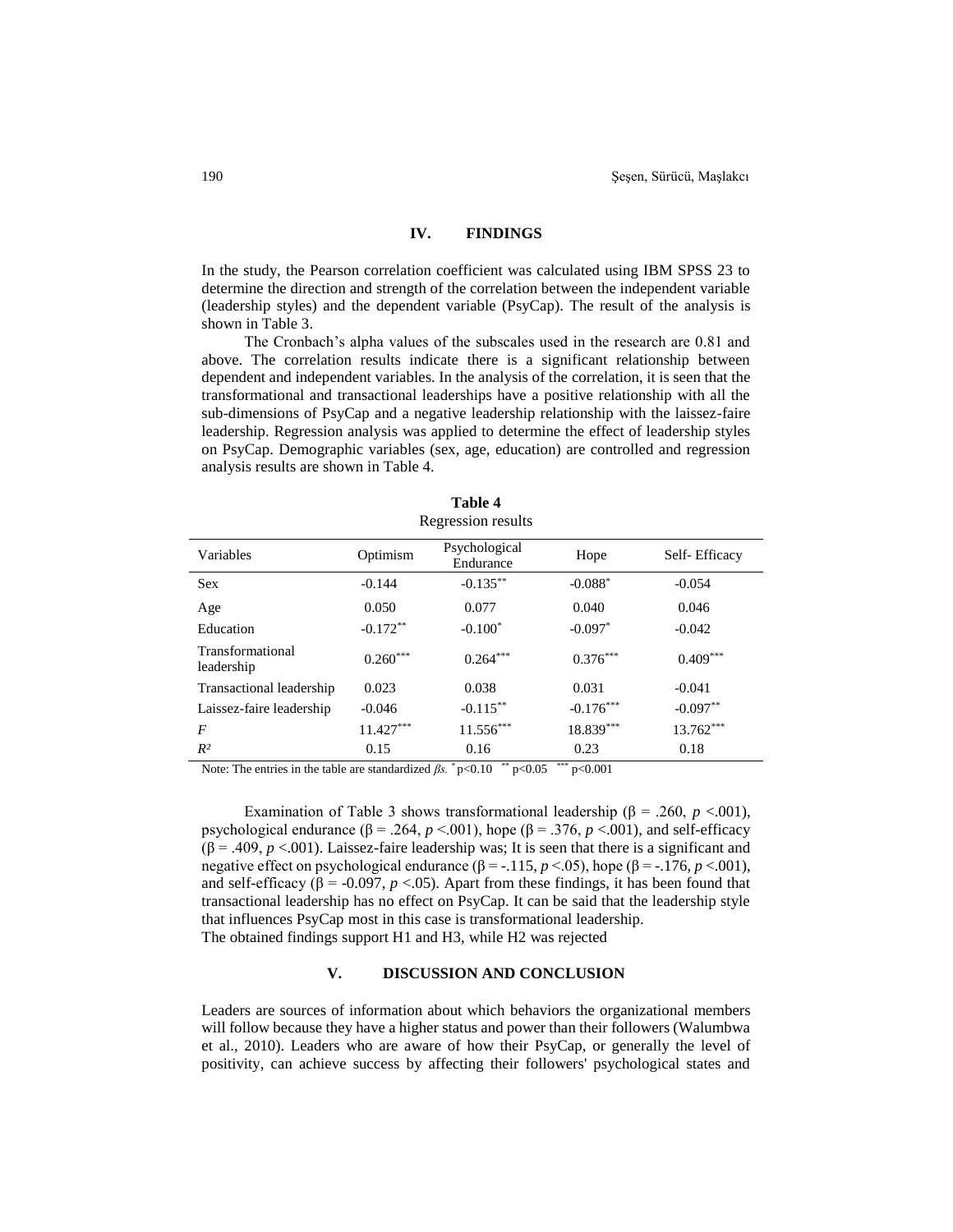#### **IV. FINDINGS**

In the study, the Pearson correlation coefficient was calculated using IBM SPSS 23 to determine the direction and strength of the correlation between the independent variable (leadership styles) and the dependent variable (PsyCap). The result of the analysis is shown in Table 3.

The Cronbach's alpha values of the subscales used in the research are 0.81 and above. The correlation results indicate there is a significant relationship between dependent and independent variables. In the analysis of the correlation, it is seen that the transformational and transactional leaderships have a positive relationship with all the sub-dimensions of PsyCap and a negative leadership relationship with the laissez-faire leadership. Regression analysis was applied to determine the effect of leadership styles on PsyCap. Demographic variables (sex, age, education) are controlled and regression analysis results are shown in Table 4.

| Regression results             |             |                            |             |               |  |
|--------------------------------|-------------|----------------------------|-------------|---------------|--|
| Variables                      | Optimism    | Psychological<br>Endurance |             | Self-Efficacy |  |
| <b>Sex</b>                     | $-0.144$    | $-0.135***$                | $-0.088*$   | $-0.054$      |  |
| Age                            | 0.050       | 0.077                      | 0.040       | 0.046         |  |
| Education                      | $-0.172**$  | $-0.100*$                  | $-0.097*$   | $-0.042$      |  |
| Transformational<br>leadership | $0.260***$  | $0.264***$                 | $0.376***$  | $0.409***$    |  |
| Transactional leadership       | 0.023       | 0.038                      | 0.031       | $-0.041$      |  |
| Laissez-faire leadership       | $-0.046$    | $-0.115***$                | $-0.176***$ | $-0.097**$    |  |
| $\boldsymbol{F}$               | $11.427***$ | $11.556***$                | 18.839***   | $13.762***$   |  |
| $R^2$                          | 0.15        | 0.16                       | 0.23        | 0.18          |  |

**Table 4**

Note: The entries in the table are standardized  $\beta s$ .  $\sqrt[*]{p}$  p<0.00<sup> $\rightarrow$ \*\*</sup> p<0.001

Examination of Table 3 shows transformational leadership ( $\beta$  = .260, *p* <.001), psychological endurance ( $\beta$  = .264,  $p$  <.001), hope ( $\beta$  = .376,  $p$  <.001), and self-efficacy ( $\beta$  = .409, *p* <.001). Laissez-faire leadership was; It is seen that there is a significant and negative effect on psychological endurance  $(\beta = -.115, p < 0.05)$ , hope  $(\beta = -.176, p < 0.01)$ , and self-efficacy ( $\beta$  = -0.097, *p* <.05). Apart from these findings, it has been found that transactional leadership has no effect on PsyCap. It can be said that the leadership style that influences PsyCap most in this case is transformational leadership. The obtained findings support H1 and H3, while H2 was rejected

#### **V. DISCUSSION AND CONCLUSION**

Leaders are sources of information about which behaviors the organizational members will follow because they have a higher status and power than their followers (Walumbwa et al., 2010). Leaders who are aware of how their PsyCap, or generally the level of positivity, can achieve success by affecting their followers' psychological states and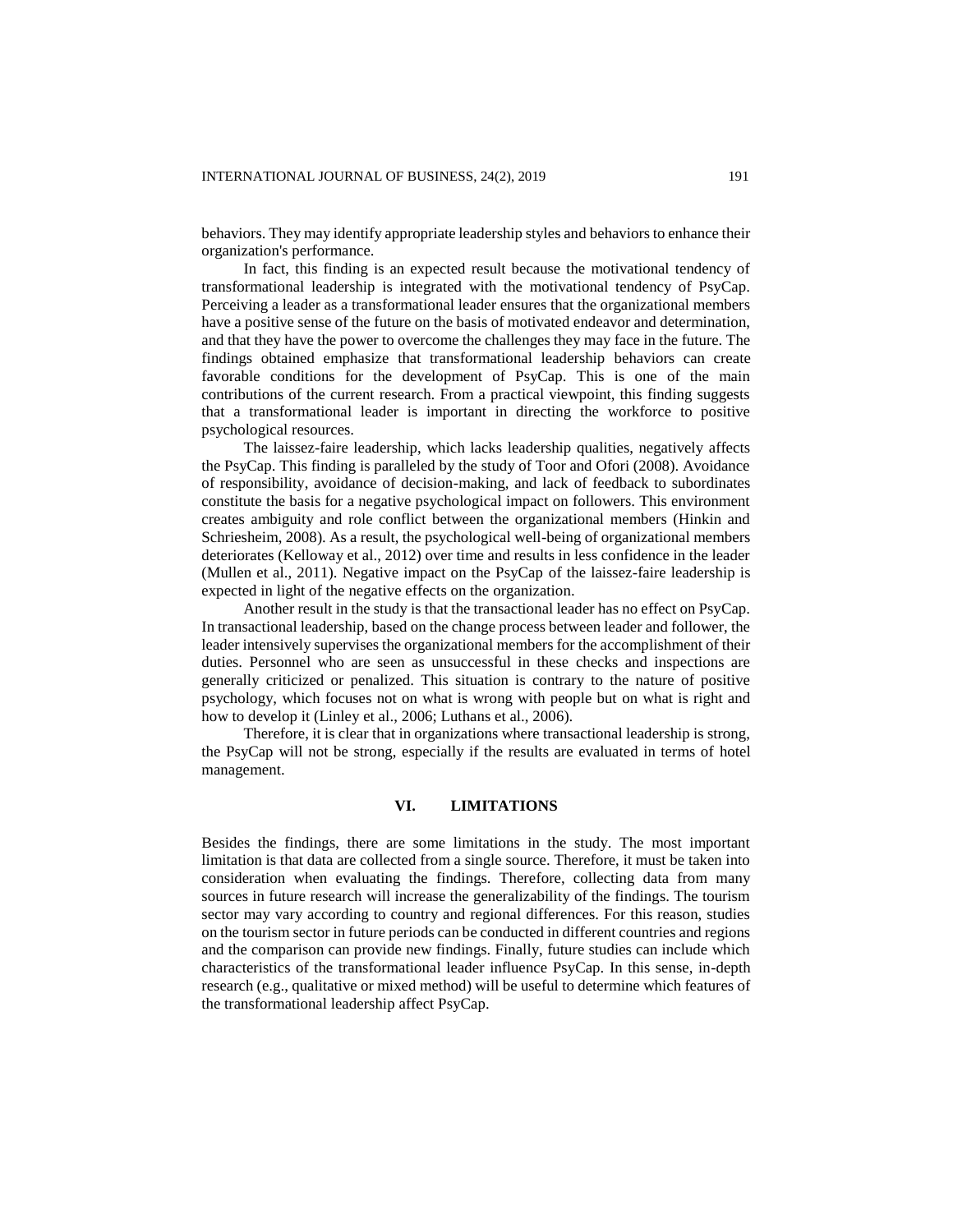behaviors. They may identify appropriate leadership styles and behaviors to enhance their organization's performance.

In fact, this finding is an expected result because the motivational tendency of transformational leadership is integrated with the motivational tendency of PsyCap. Perceiving a leader as a transformational leader ensures that the organizational members have a positive sense of the future on the basis of motivated endeavor and determination, and that they have the power to overcome the challenges they may face in the future. The findings obtained emphasize that transformational leadership behaviors can create favorable conditions for the development of PsyCap. This is one of the main contributions of the current research. From a practical viewpoint, this finding suggests that a transformational leader is important in directing the workforce to positive psychological resources.

The laissez-faire leadership, which lacks leadership qualities, negatively affects the PsyCap. This finding is paralleled by the study of Toor and Ofori (2008). Avoidance of responsibility, avoidance of decision-making, and lack of feedback to subordinates constitute the basis for a negative psychological impact on followers. This environment creates ambiguity and role conflict between the organizational members (Hinkin and Schriesheim, 2008). As a result, the psychological well-being of organizational members deteriorates (Kelloway et al., 2012) over time and results in less confidence in the leader (Mullen et al., 2011). Negative impact on the PsyCap of the laissez-faire leadership is expected in light of the negative effects on the organization.

Another result in the study is that the transactional leader has no effect on PsyCap. In transactional leadership, based on the change process between leader and follower, the leader intensively supervises the organizational members for the accomplishment of their duties. Personnel who are seen as unsuccessful in these checks and inspections are generally criticized or penalized. This situation is contrary to the nature of positive psychology, which focuses not on what is wrong with people but on what is right and how to develop it (Linley et al., 2006; Luthans et al., 2006).

Therefore, it is clear that in organizations where transactional leadership is strong, the PsyCap will not be strong, especially if the results are evaluated in terms of hotel management.

## **VI. LIMITATIONS**

Besides the findings, there are some limitations in the study. The most important limitation is that data are collected from a single source. Therefore, it must be taken into consideration when evaluating the findings. Therefore, collecting data from many sources in future research will increase the generalizability of the findings. The tourism sector may vary according to country and regional differences. For this reason, studies on the tourism sector in future periods can be conducted in different countries and regions and the comparison can provide new findings. Finally, future studies can include which characteristics of the transformational leader influence PsyCap. In this sense, in-depth research (e.g., qualitative or mixed method) will be useful to determine which features of the transformational leadership affect PsyCap.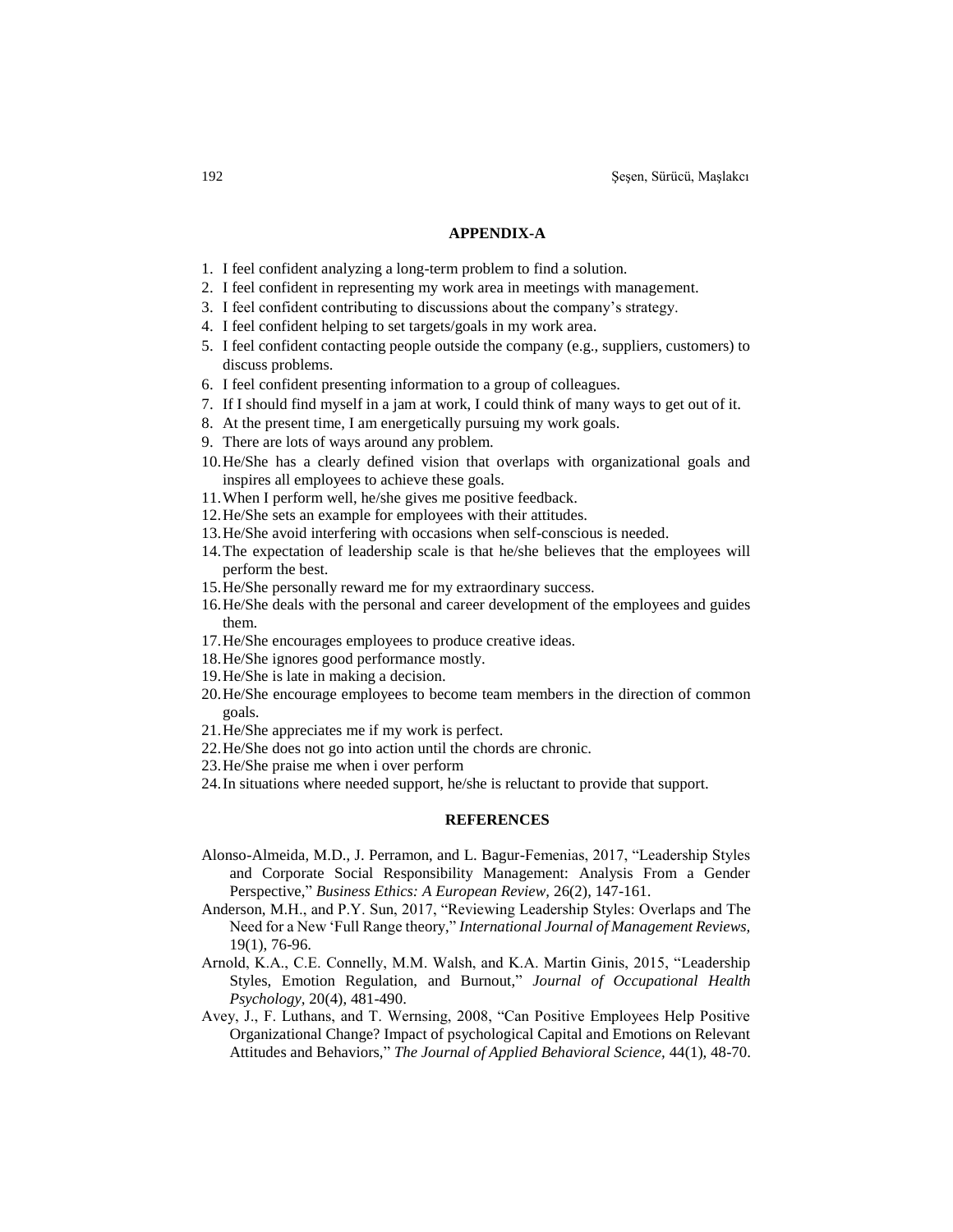#### **APPENDIX-A**

- 1. I feel confident analyzing a long-term problem to find a solution.
- 2. I feel confident in representing my work area in meetings with management.
- 3. I feel confident contributing to discussions about the company's strategy.
- 4. I feel confident helping to set targets/goals in my work area.
- 5. I feel confident contacting people outside the company (e.g., suppliers, customers) to discuss problems.
- 6. I feel confident presenting information to a group of colleagues.
- 7. If I should find myself in a jam at work, I could think of many ways to get out of it.
- 8. At the present time, I am energetically pursuing my work goals.
- 9. There are lots of ways around any problem.
- 10.He/She has a clearly defined vision that overlaps with organizational goals and inspires all employees to achieve these goals.
- 11.When I perform well, he/she gives me positive feedback.
- 12.He/She sets an example for employees with their attitudes.
- 13.He/She avoid interfering with occasions when self-conscious is needed.
- 14.The expectation of leadership scale is that he/she believes that the employees will perform the best.
- 15.He/She personally reward me for my extraordinary success.
- 16.He/She deals with the personal and career development of the employees and guides them.
- 17.He/She encourages employees to produce creative ideas.
- 18.He/She ignores good performance mostly.
- 19.He/She is late in making a decision.
- 20.He/She encourage employees to become team members in the direction of common goals.
- 21.He/She appreciates me if my work is perfect.
- 22.He/She does not go into action until the chords are chronic.
- 23.He/She praise me when i over perform
- 24.In situations where needed support, he/she is reluctant to provide that support.

#### **REFERENCES**

- Alonso-Almeida, M.D., J. Perramon, and L. Bagur-Femenias, 2017, "Leadership Styles and Corporate Social Responsibility Management: Analysis From a Gender Perspective," *Business Ethics: A European Review,* 26(2), 147-161.
- Anderson, M.H., and P.Y. Sun, 2017, "Reviewing Leadership Styles: Overlaps and The Need for a New 'Full Range theory," *International Journal of Management Reviews,*  19(1), 76-96.
- Arnold, K.A., C.E. Connelly, M.M. Walsh, and K.A. Martin Ginis, 2015, "Leadership Styles, Emotion Regulation, and Burnout," *Journal of Occupational Health Psychology,* 20(4), 481-490.
- Avey, J., F. Luthans, and T. Wernsing, 2008, "Can Positive Employees Help Positive Organizational Change? Impact of psychological Capital and Emotions on Relevant Attitudes and Behaviors," *The Journal of Applied Behavioral Science,* 44(1), 48-70.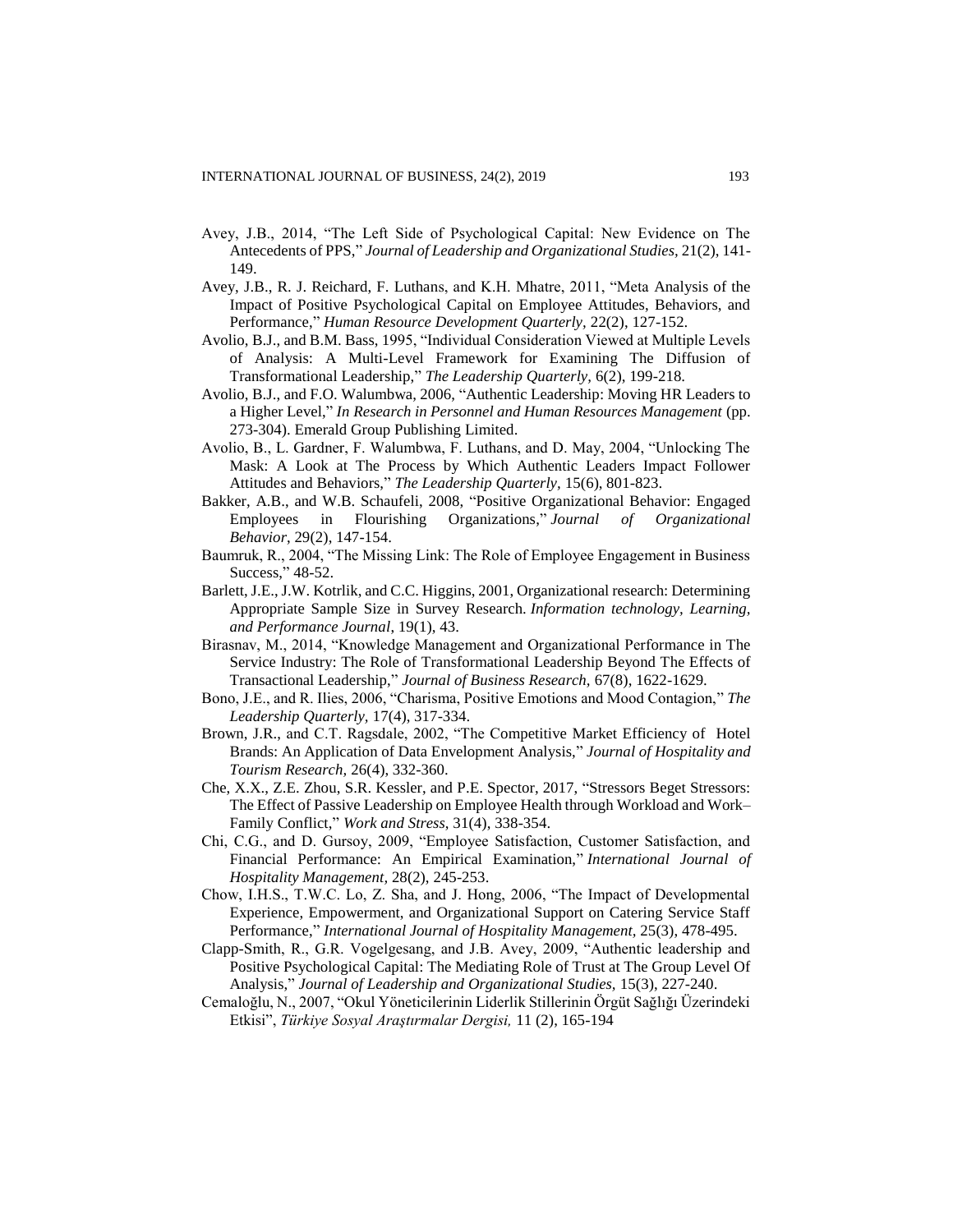- Avey, J.B., 2014, "The Left Side of Psychological Capital: New Evidence on The Antecedents of PPS," *Journal of Leadership and Organizational Studies,* 21(2), 141- 149.
- Avey, J.B., R. J. Reichard, F. Luthans, and K.H. Mhatre, 2011, "Meta Analysis of the Impact of Positive Psychological Capital on Employee Attitudes, Behaviors, and Performance," *Human Resource Development Quarterly,* 22(2), 127-152.
- Avolio, B.J., and B.M. Bass, 1995, "Individual Consideration Viewed at Multiple Levels of Analysis: A Multi-Level Framework for Examining The Diffusion of Transformational Leadership," *The Leadership Quarterly,* 6(2), 199-218.
- Avolio, B.J., and F.O. Walumbwa, 2006, "Authentic Leadership: Moving HR Leaders to a Higher Level," *In Research in Personnel and Human Resources Management* (pp. 273-304). Emerald Group Publishing Limited.
- Avolio, B., L. Gardner, F. Walumbwa, F. Luthans, and D. May, 2004, "Unlocking The Mask: A Look at The Process by Which Authentic Leaders Impact Follower Attitudes and Behaviors," *The Leadership Quarterly,* 15(6), 801-823.
- Bakker, A.B., and W.B. Schaufeli, 2008, "Positive Organizational Behavior: Engaged Employees in Flourishing Organizations," *Journal of Organizational Behavior*, 29(2), 147-154.
- Baumruk, R., 2004, "The Missing Link: The Role of Employee Engagement in Business Success," 48-52.
- Barlett, J.E., J.W. Kotrlik, and C.C. Higgins, 2001, Organizational research: Determining Appropriate Sample Size in Survey Research. *Information technology, Learning, and Performance Journal*, 19(1), 43.
- Birasnav, M., 2014, "Knowledge Management and Organizational Performance in The Service Industry: The Role of Transformational Leadership Beyond The Effects of Transactional Leadership," *Journal of Business Research,* 67(8), 1622-1629.
- Bono, J.E., and R. Ilies, 2006, "Charisma, Positive Emotions and Mood Contagion," *The Leadership Quarterly,* 17(4), 317-334.
- Brown, J.R., and C.T. Ragsdale, 2002, "The Competitive Market Efficiency of Hotel Brands: An Application of Data Envelopment Analysis," *Journal of Hospitality and Tourism Research,* 26(4), 332-360.
- Che, X.X., Z.E. Zhou, S.R. Kessler, and P.E. Spector, 2017, "Stressors Beget Stressors: The Effect of Passive Leadership on Employee Health through Workload and Work– Family Conflict," *Work and Stress*, 31(4), 338-354.
- Chi, C.G., and D. Gursoy, 2009, "Employee Satisfaction, Customer Satisfaction, and Financial Performance: An Empirical Examination," *International Journal of Hospitality Management,* 28(2), 245-253.
- Chow, I.H.S., T.W.C. Lo, Z. Sha, and J. Hong, 2006, "The Impact of Developmental Experience, Empowerment, and Organizational Support on Catering Service Staff Performance," *International Journal of Hospitality Management,* 25(3), 478-495.
- Clapp-Smith, R., G.R. Vogelgesang, and J.B. Avey, 2009, "Authentic leadership and Positive Psychological Capital: The Mediating Role of Trust at The Group Level Of Analysis," *Journal of Leadership and Organizational Studies,* 15(3), 227-240.
- Cemaloğlu, N., 2007, "Okul Yöneticilerinin Liderlik Stillerinin Örgüt Sağlığı Üzerindeki Etkisi", *Türkiye Sosyal Araştırmalar Dergisi,* 11 (2), 165-194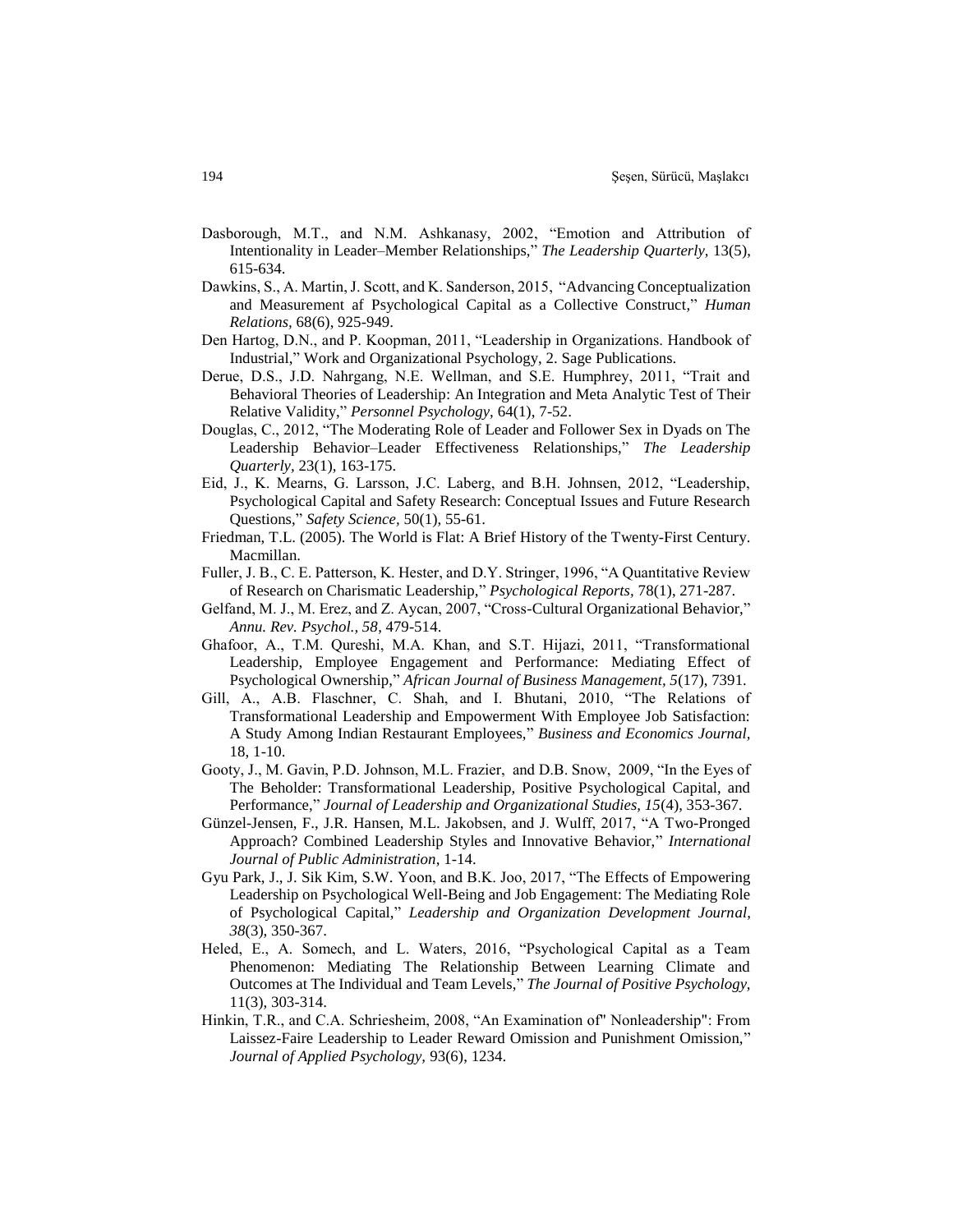- Dasborough, M.T., and N.M. Ashkanasy, 2002, "Emotion and Attribution of Intentionality in Leader–Member Relationships," *The Leadership Quarterly,* 13(5), 615-634.
- Dawkins, S., A. Martin, J. Scott, and K. Sanderson, 2015, "Advancing Conceptualization and Measurement af Psychological Capital as a Collective Construct," *Human Relations,* 68(6), 925-949.
- Den Hartog, D.N., and P. Koopman, 2011, "Leadership in Organizations. Handbook of Industrial," Work and Organizational Psychology, 2. Sage Publications.
- Derue, D.S., J.D. Nahrgang, N.E. Wellman, and S.E. Humphrey, 2011, "Trait and Behavioral Theories of Leadership: An Integration and Meta Analytic Test of Their Relative Validity," *Personnel Psychology,* 64(1), 7-52.
- Douglas, C., 2012, "The Moderating Role of Leader and Follower Sex in Dyads on The Leadership Behavior–Leader Effectiveness Relationships," *The Leadership Quarterly,* 23(1), 163-175.
- Eid, J., K. Mearns, G. Larsson, J.C. Laberg, and B.H. Johnsen, 2012, "Leadership, Psychological Capital and Safety Research: Conceptual Issues and Future Research Questions," *Safety Science,* 50(1), 55-61.
- Friedman, T.L. (2005). The World is Flat: A Brief History of the Twenty-First Century. Macmillan.
- Fuller, J. B., C. E. Patterson, K. Hester, and D.Y. Stringer, 1996, "A Quantitative Review of Research on Charismatic Leadership," *Psychological Reports,* 78(1), 271-287.
- Gelfand, M. J., M. Erez, and Z. Aycan, 2007, "Cross-Cultural Organizational Behavior," *Annu. Rev. Psychol., 58*, 479-514.
- Ghafoor, A., T.M. Qureshi, M.A. Khan, and S.T. Hijazi, 2011, "Transformational Leadership, Employee Engagement and Performance: Mediating Effect of Psychological Ownership," *African Journal of Business Management, 5*(17), 7391.
- Gill, A., A.B. Flaschner, C. Shah, and I. Bhutani, 2010, "The Relations of Transformational Leadership and Empowerment With Employee Job Satisfaction: A Study Among Indian Restaurant Employees," *Business and Economics Journal,*  18, 1-10.
- Gooty, J., M. Gavin, P.D. Johnson, M.L. Frazier, and D.B. Snow, 2009, "In the Eyes of The Beholder: Transformational Leadership, Positive Psychological Capital, and Performance," *Journal of Leadership and Organizational Studies, 15*(4), 353-367.
- Günzel-Jensen, F., J.R. Hansen, M.L. Jakobsen, and J. Wulff, 2017, "A Two-Pronged Approach? Combined Leadership Styles and Innovative Behavior," *International Journal of Public Administration*, 1-14.
- Gyu Park, J., J. Sik Kim, S.W. Yoon, and B.K. Joo, 2017, "The Effects of Empowering Leadership on Psychological Well-Being and Job Engagement: The Mediating Role of Psychological Capital," *Leadership and Organization Development Journal, 38*(3), 350-367.
- Heled, E., A. Somech, and L. Waters, 2016, "Psychological Capital as a Team Phenomenon: Mediating The Relationship Between Learning Climate and Outcomes at The Individual and Team Levels," *The Journal of Positive Psychology,* 11(3), 303-314.
- Hinkin, T.R., and C.A. Schriesheim, 2008, "An Examination of" Nonleadership": From Laissez-Faire Leadership to Leader Reward Omission and Punishment Omission," *Journal of Applied Psychology,* 93(6), 1234.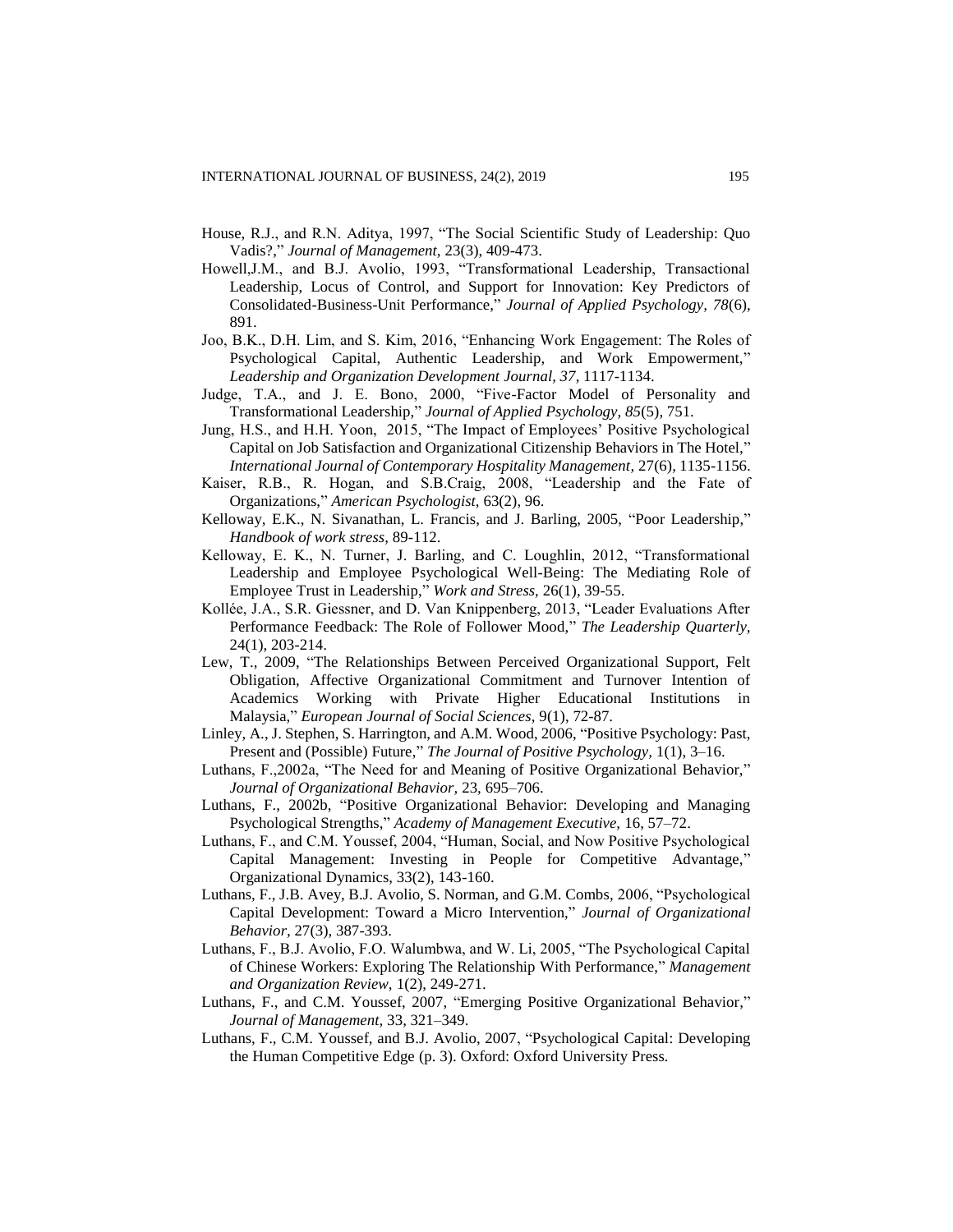- House, R.J., and R.N. Aditya, 1997, "The Social Scientific Study of Leadership: Quo Vadis?," *Journal of Management,* 23(3), 409-473.
- Howell,J.M., and B.J. Avolio, 1993, "Transformational Leadership, Transactional Leadership, Locus of Control, and Support for Innovation: Key Predictors of Consolidated-Business-Unit Performance," *Journal of Applied Psychology, 78*(6), 891.
- Joo, B.K., D.H. Lim, and S. Kim, 2016, "Enhancing Work Engagement: The Roles of Psychological Capital, Authentic Leadership, and Work Empowerment," *Leadership and Organization Development Journal, 37*, 1117-1134.
- Judge, T.A., and J. E. Bono, 2000, "Five-Factor Model of Personality and Transformational Leadership," *Journal of Applied Psychology, 85*(5), 751.
- Jung, H.S., and H.H. Yoon, 2015, "The Impact of Employees' Positive Psychological Capital on Job Satisfaction and Organizational Citizenship Behaviors in The Hotel," *International Journal of Contemporary Hospitality Management,* 27(6), 1135-1156.
- Kaiser, R.B., R. Hogan, and S.B.Craig, 2008, "Leadership and the Fate of Organizations," *American Psychologist,* 63(2), 96.
- Kelloway, E.K., N. Sivanathan, L. Francis, and J. Barling, 2005, "Poor Leadership," *Handbook of work stress*, 89-112.
- Kelloway, E. K., N. Turner, J. Barling, and C. Loughlin, 2012, "Transformational Leadership and Employee Psychological Well-Being: The Mediating Role of Employee Trust in Leadership," *Work and Stress,* 26(1), 39-55.
- Kollée, J.A., S.R. Giessner, and D. Van Knippenberg, 2013, "Leader Evaluations After Performance Feedback: The Role of Follower Mood," *The Leadership Quarterly,*  24(1), 203-214.
- Lew, T., 2009, "The Relationships Between Perceived Organizational Support, Felt Obligation, Affective Organizational Commitment and Turnover Intention of Academics Working with Private Higher Educational Institutions in Malaysia," *European Journal of Social Sciences*, 9(1), 72-87.
- Linley, A., J. Stephen, S. Harrington, and A.M. Wood, 2006, "Positive Psychology: Past, Present and (Possible) Future," *The Journal of Positive Psychology,* 1(1), 3–16.
- Luthans, F.,2002a, "The Need for and Meaning of Positive Organizational Behavior," *Journal of Organizational Behavior,* 23*,* 695–706.
- Luthans, F., 2002b, "Positive Organizational Behavior: Developing and Managing Psychological Strengths," *Academy of Management Executive,* 16, 57–72.
- Luthans, F., and C.M. Youssef, 2004, "Human, Social, and Now Positive Psychological Capital Management: Investing in People for Competitive Advantage," Organizational Dynamics, 33(2), 143-160.
- Luthans, F., J.B. Avey, B.J. Avolio, S. Norman, and G.M. Combs, 2006, "Psychological Capital Development: Toward a Micro Intervention," *Journal of Organizational Behavior,* 27(3), 387-393.
- Luthans, F., B.J. Avolio, F.O. Walumbwa, and W. Li, 2005, "The Psychological Capital of Chinese Workers: Exploring The Relationship With Performance," *Management and Organization Review,* 1(2), 249-271.
- Luthans, F., and C.M. Youssef, 2007, "Emerging Positive Organizational Behavior," *Journal of Management,* 33, 321–349.
- Luthans, F., C.M. Youssef, and B.J. Avolio, 2007, "Psychological Capital: Developing the Human Competitive Edge (p. 3). Oxford: Oxford University Press.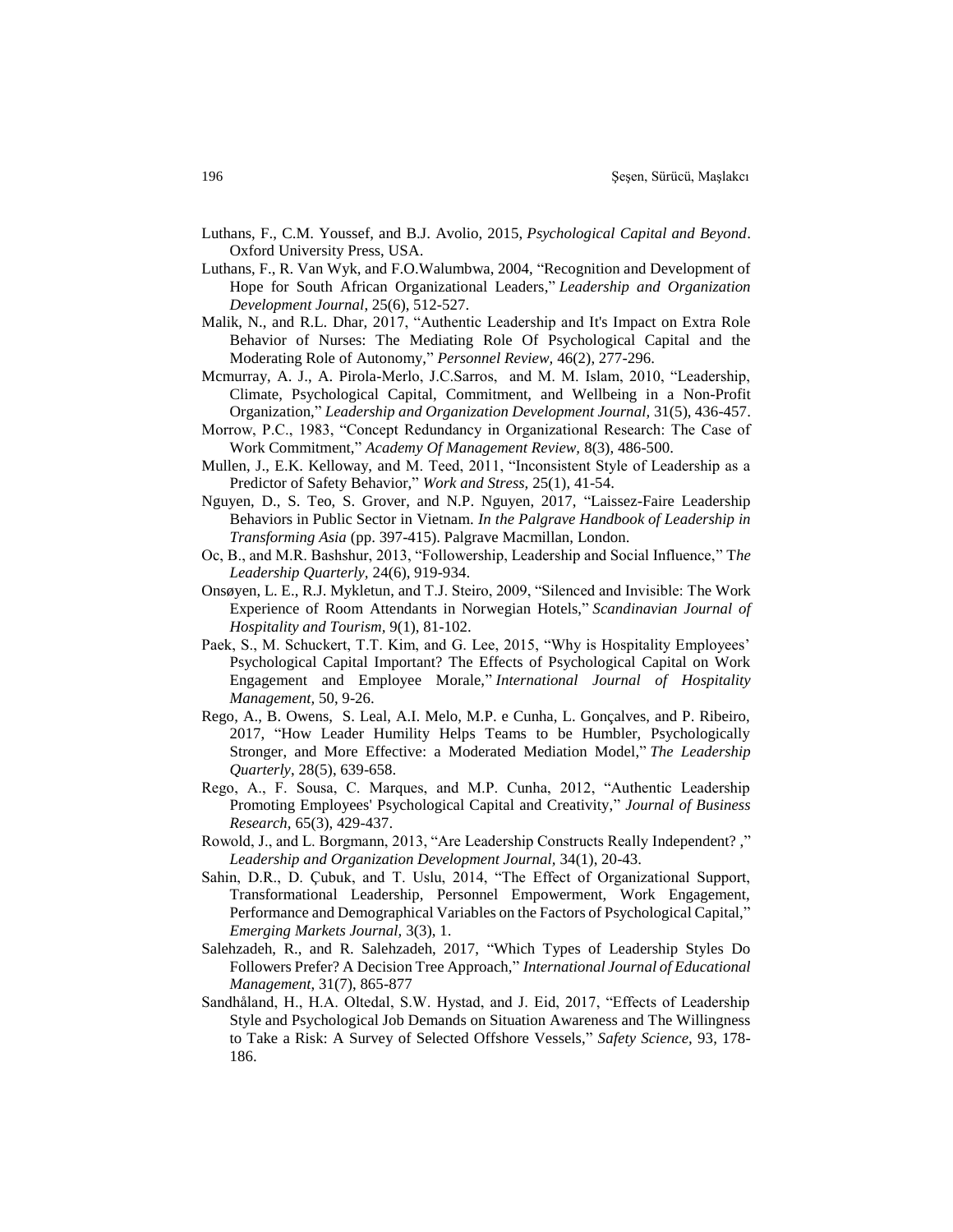- Luthans, F., C.M. Youssef, and B.J. Avolio, 2015, *Psychological Capital and Beyond*. Oxford University Press, USA.
- Luthans, F., R. Van Wyk, and F.O.Walumbwa, 2004, "Recognition and Development of Hope for South African Organizational Leaders," *Leadership and Organization Development Journal*, 25(6), 512-527.
- Malik, N., and R.L. Dhar, 2017, "Authentic Leadership and It's Impact on Extra Role Behavior of Nurses: The Mediating Role Of Psychological Capital and the Moderating Role of Autonomy," *Personnel Review,* 46(2), 277-296.
- Mcmurray, A. J., A. Pirola-Merlo, J.C.Sarros, and M. M. Islam, 2010, "Leadership, Climate, Psychological Capital, Commitment, and Wellbeing in a Non-Profit Organization," *Leadership and Organization Development Journal,* 31(5), 436-457.
- Morrow, P.C., 1983, "Concept Redundancy in Organizational Research: The Case of Work Commitment," *Academy Of Management Review,* 8(3), 486-500.
- Mullen, J., E.K. Kelloway, and M. Teed, 2011, "Inconsistent Style of Leadership as a Predictor of Safety Behavior," *Work and Stress,* 25(1), 41-54.
- Nguyen, D., S. Teo, S. Grover, and N.P. Nguyen, 2017, "Laissez-Faire Leadership Behaviors in Public Sector in Vietnam. *In the Palgrave Handbook of Leadership in Transforming Asia* (pp. 397-415). Palgrave Macmillan, London.
- Oc, B., and M.R. Bashshur, 2013, "Followership, Leadership and Social Influence," T*he Leadership Quarterly,* 24(6), 919-934.
- Onsøyen, L. E., R.J. Mykletun, and T.J. Steiro, 2009, "Silenced and Invisible: The Work Experience of Room Attendants in Norwegian Hotels," *Scandinavian Journal of Hospitality and Tourism,* 9(1), 81-102.
- Paek, S., M. Schuckert, T.T. Kim, and G. Lee, 2015, "Why is Hospitality Employees' Psychological Capital Important? The Effects of Psychological Capital on Work Engagement and Employee Morale," *International Journal of Hospitality Management,* 50, 9-26.
- Rego, A., B. Owens, S. Leal, A.I. Melo, M.P. e Cunha, L. Gonçalves, and P. Ribeiro, 2017, "How Leader Humility Helps Teams to be Humbler, Psychologically Stronger, and More Effective: a Moderated Mediation Model," *The Leadership Quarterly*, 28(5), 639-658.
- Rego, A., F. Sousa, C. Marques, and M.P. Cunha, 2012, "Authentic Leadership Promoting Employees' Psychological Capital and Creativity," *Journal of Business Research,* 65(3), 429-437.
- Rowold, J., and L. Borgmann, 2013, "Are Leadership Constructs Really Independent? ," *Leadership and Organization Development Journal,* 34(1), 20-43.
- Sahin, D.R., D. Çubuk, and T. Uslu, 2014, "The Effect of Organizational Support, Transformational Leadership, Personnel Empowerment, Work Engagement, Performance and Demographical Variables on the Factors of Psychological Capital," *Emerging Markets Journal,* 3(3), 1.
- Salehzadeh, R., and R. Salehzadeh, 2017, "Which Types of Leadership Styles Do Followers Prefer? A Decision Tree Approach," *International Journal of Educational Management*, 31(7), 865-877
- Sandhåland, H., H.A. Oltedal, S.W. Hystad, and J. Eid, 2017, "Effects of Leadership Style and Psychological Job Demands on Situation Awareness and The Willingness to Take a Risk: A Survey of Selected Offshore Vessels," *Safety Science,* 93, 178- 186.